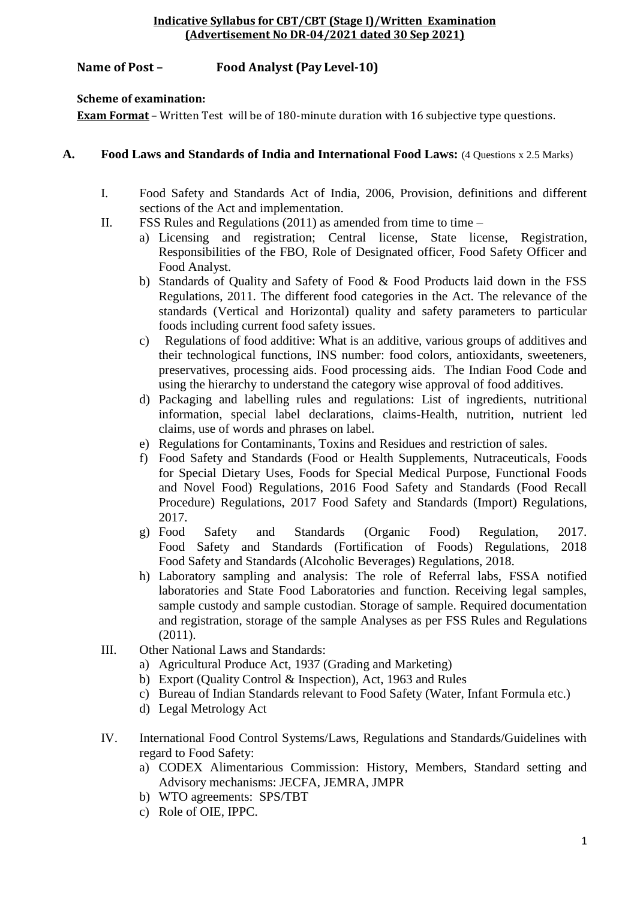## **Name of Post – Food Analyst (Pay Level-10)**

### **Scheme of examination:**

**Exam Format** – Written Test will be of 180-minute duration with 16 subjective type questions.

### **A. Food Laws and Standards of India and International Food Laws:** (4 Questions x 2.5 Marks)

- I. Food Safety and Standards Act of India, 2006, Provision, definitions and different sections of the Act and implementation.
- II. FSS Rules and Regulations  $(2011)$  as amended from time to time
	- a) Licensing and registration; Central license, State license, Registration, Responsibilities of the FBO, Role of Designated officer, Food Safety Officer and Food Analyst.
	- b) Standards of Quality and Safety of Food & Food Products laid down in the FSS Regulations, 2011. The different food categories in the Act. The relevance of the standards (Vertical and Horizontal) quality and safety parameters to particular foods including current food safety issues.
	- c) Regulations of food additive: What is an additive, various groups of additives and their technological functions, INS number: food colors, antioxidants, sweeteners, preservatives, processing aids. Food processing aids. The Indian Food Code and using the hierarchy to understand the category wise approval of food additives.
	- d) Packaging and labelling rules and regulations: List of ingredients, nutritional information, special label declarations, claims-Health, nutrition, nutrient led claims, use of words and phrases on label.
	- e) Regulations for Contaminants, Toxins and Residues and restriction of sales.
	- f) Food Safety and Standards (Food or Health Supplements, Nutraceuticals, Foods for Special Dietary Uses, Foods for Special Medical Purpose, Functional Foods and Novel Food) Regulations, 2016 Food Safety and Standards (Food Recall Procedure) Regulations, 2017 Food Safety and Standards (Import) Regulations, 2017.
	- g) Food Safety and Standards (Organic Food) Regulation, 2017. Food Safety and Standards (Fortification of Foods) Regulations, 2018 Food Safety and Standards (Alcoholic Beverages) Regulations, 2018.
	- h) Laboratory sampling and analysis: The role of Referral labs, FSSA notified laboratories and State Food Laboratories and function. Receiving legal samples, sample custody and sample custodian. Storage of sample. Required documentation and registration, storage of the sample Analyses as per FSS Rules and Regulations  $(2011).$
- III. Other National Laws and Standards:
	- a) Agricultural Produce Act, 1937 (Grading and Marketing)
	- b) Export (Quality Control & Inspection), Act, 1963 and Rules
	- c) Bureau of Indian Standards relevant to Food Safety (Water, Infant Formula etc.)
	- d) Legal Metrology Act
- IV. International Food Control Systems/Laws, Regulations and Standards/Guidelines with regard to Food Safety:
	- a) CODEX Alimentarious Commission: History, Members, Standard setting and Advisory mechanisms: JECFA, JEMRA, JMPR
	- b) WTO agreements: SPS/TBT
	- c) Role of OIE, IPPC.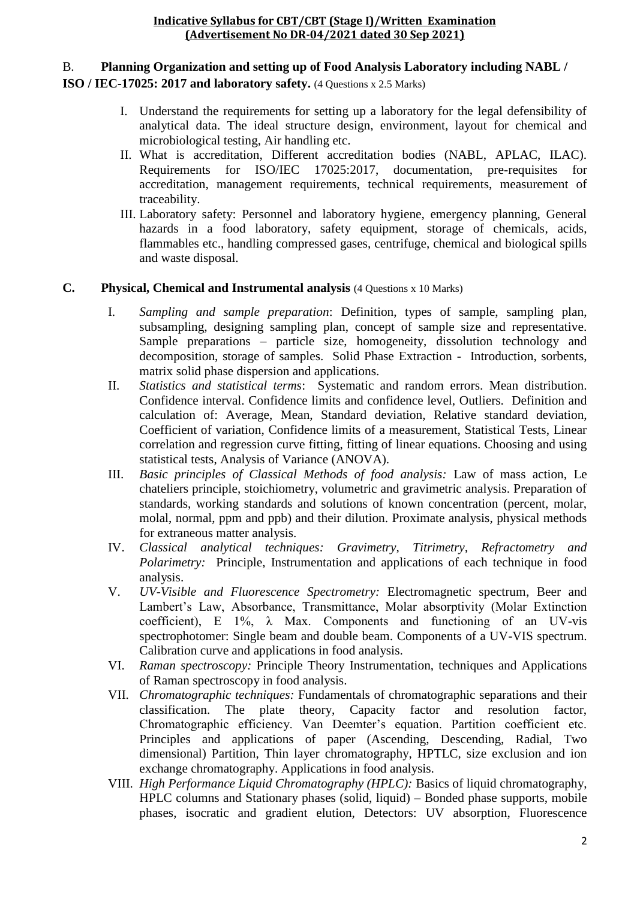## B. **Planning Organization and setting up of Food Analysis Laboratory including NABL /**

## **ISO / IEC-17025: 2017 and laboratory safety.** (4 Questions x 2.5 Marks)

- I. Understand the requirements for setting up a laboratory for the legal defensibility of analytical data. The ideal structure design, environment, layout for chemical and microbiological testing, Air handling etc.
- II. What is accreditation, Different accreditation bodies (NABL, APLAC, ILAC). Requirements for ISO/IEC 17025:2017, documentation, pre-requisites for accreditation, management requirements, technical requirements, measurement of traceability.
- III. Laboratory safety: Personnel and laboratory hygiene, emergency planning, General hazards in a food laboratory, safety equipment, storage of chemicals, acids, flammables etc., handling compressed gases, centrifuge, chemical and biological spills and waste disposal.

## **C. Physical, Chemical and Instrumental analysis** (4 Questions x 10 Marks)

- I. *Sampling and sample preparation*: Definition, types of sample, sampling plan, subsampling, designing sampling plan, concept of sample size and representative. Sample preparations – particle size, homogeneity, dissolution technology and decomposition, storage of samples. Solid Phase Extraction - Introduction, sorbents, matrix solid phase dispersion and applications.
- II. *Statistics and statistical terms*: Systematic and random errors. Mean distribution. Confidence interval. Confidence limits and confidence level, Outliers. Definition and calculation of: Average, Mean, Standard deviation, Relative standard deviation, Coefficient of variation, Confidence limits of a measurement, Statistical Tests, Linear correlation and regression curve fitting, fitting of linear equations. Choosing and using statistical tests, Analysis of Variance (ANOVA).
- III. *Basic principles of Classical Methods of food analysis:* Law of mass action, Le chateliers principle, stoichiometry, volumetric and gravimetric analysis. Preparation of standards, working standards and solutions of known concentration (percent, molar, molal, normal, ppm and ppb) and their dilution. Proximate analysis, physical methods for extraneous matter analysis.
- IV. *Classical analytical techniques: Gravimetry, Titrimetry, Refractometry and Polarimetry:* Principle, Instrumentation and applications of each technique in food analysis.
- V. *UV-Visible and Fluorescence Spectrometry:* Electromagnetic spectrum, Beer and Lambert's Law, Absorbance, Transmittance, Molar absorptivity (Molar Extinction coefficient), E  $1\%$ ,  $\lambda$  Max. Components and functioning of an UV-vis spectrophotomer: Single beam and double beam. Components of a UV-VIS spectrum. Calibration curve and applications in food analysis.
- VI. *Raman spectroscopy:* Principle Theory Instrumentation, techniques and Applications of Raman spectroscopy in food analysis.
- VII. *Chromatographic techniques:* Fundamentals of chromatographic separations and their classification. The plate theory, Capacity factor and resolution factor, Chromatographic efficiency. Van Deemter's equation. Partition coefficient etc. Principles and applications of paper (Ascending, Descending, Radial, Two dimensional) Partition, Thin layer chromatography, HPTLC, size exclusion and ion exchange chromatography. Applications in food analysis.
- VIII. *High Performance Liquid Chromatography (HPLC):* Basics of liquid chromatography, HPLC columns and Stationary phases (solid, liquid) – Bonded phase supports, mobile phases, isocratic and gradient elution, Detectors: UV absorption, Fluorescence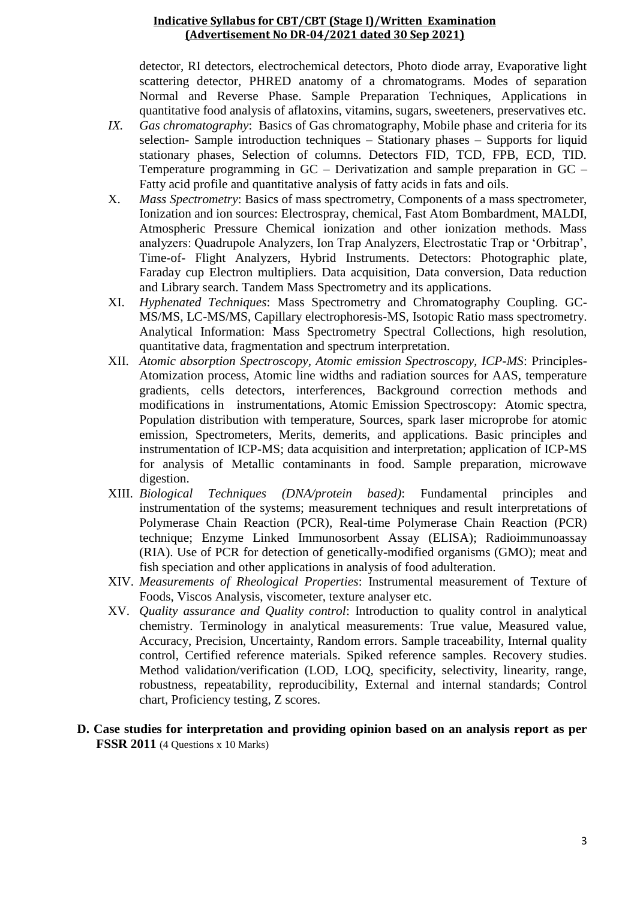detector, RI detectors, electrochemical detectors, Photo diode array, Evaporative light scattering detector, PHRED anatomy of a chromatograms. Modes of separation Normal and Reverse Phase. Sample Preparation Techniques, Applications in quantitative food analysis of aflatoxins, vitamins, sugars, sweeteners, preservatives etc.

- *IX. Gas chromatography*: Basics of Gas chromatography, Mobile phase and criteria for its selection- Sample introduction techniques  $-$  Stationary phases  $-$  Supports for liquid stationary phases, Selection of columns. Detectors FID, TCD, FPB, ECD, TID. Temperature programming in GC – Derivatization and sample preparation in GC – Fatty acid profile and quantitative analysis of fatty acids in fats and oils.
- X. *Mass Spectrometry*: Basics of mass spectrometry, Components of a mass spectrometer, Ionization and ion sources: Electrospray, chemical, Fast Atom Bombardment, MALDI, Atmospheric Pressure Chemical ionization and other ionization methods. Mass analyzers: Quadrupole Analyzers, Ion Trap Analyzers, Electrostatic Trap or 'Orbitrap', Time-of- Flight Analyzers, Hybrid Instruments. Detectors: Photographic plate, Faraday cup Electron multipliers. Data acquisition, Data conversion, Data reduction and Library search. Tandem Mass Spectrometry and its applications.
- XI. *Hyphenated Techniques*: Mass Spectrometry and Chromatography Coupling. GC-MS/MS, LC-MS/MS, Capillary electrophoresis-MS, Isotopic Ratio mass spectrometry. Analytical Information: Mass Spectrometry Spectral Collections, high resolution, quantitative data, fragmentation and spectrum interpretation.
- XII. *Atomic absorption Spectroscopy, Atomic emission Spectroscopy, ICP-MS*: Principles-Atomization process, Atomic line widths and radiation sources for AAS, temperature gradients, cells detectors, interferences, Background correction methods and modifications in instrumentations, Atomic Emission Spectroscopy: Atomic spectra, Population distribution with temperature, Sources, spark laser microprobe for atomic emission, Spectrometers, Merits, demerits, and applications. Basic principles and instrumentation of ICP-MS; data acquisition and interpretation; application of ICP-MS for analysis of Metallic contaminants in food. Sample preparation, microwave digestion.
- XIII. *Biological Techniques (DNA/protein based)*: Fundamental principles and instrumentation of the systems; measurement techniques and result interpretations of Polymerase Chain Reaction (PCR), Real-time Polymerase Chain Reaction (PCR) technique; Enzyme Linked Immunosorbent Assay (ELISA); Radioimmunoassay (RIA). Use of PCR for detection of genetically-modified organisms (GMO); meat and fish speciation and other applications in analysis of food adulteration.
- XIV. *Measurements of Rheological Properties*: Instrumental measurement of Texture of Foods, Viscos Analysis, viscometer, texture analyser etc.
- XV. *Quality assurance and Quality control*: Introduction to quality control in analytical chemistry. Terminology in analytical measurements: True value, Measured value, Accuracy, Precision, Uncertainty, Random errors. Sample traceability, Internal quality control, Certified reference materials. Spiked reference samples. Recovery studies. Method validation/verification (LOD, LOQ, specificity, selectivity, linearity, range, robustness, repeatability, reproducibility, External and internal standards; Control chart, Proficiency testing, Z scores.
- **D. Case studies for interpretation and providing opinion based on an analysis report as per FSSR 2011** (4 Questions x 10 Marks)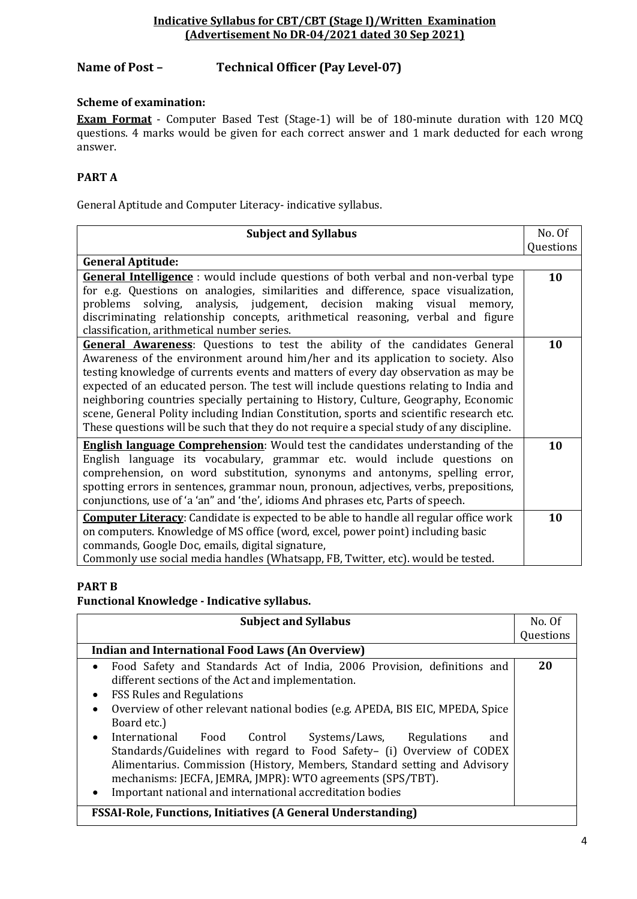# **Name of Post – Technical Officer (Pay Level-07)**

## **Scheme of examination:**

**Exam Format** - Computer Based Test (Stage-1) will be of 180-minute duration with 120 MCQ questions. 4 marks would be given for each correct answer and 1 mark deducted for each wrong answer.

## **PART A**

General Aptitude and Computer Literacy- indicative syllabus.

| <b>Subject and Syllabus</b>                                                                                                                                                                                                                                                                                                                                                                                                                                                                                                                                                                                                          | No. Of    |
|--------------------------------------------------------------------------------------------------------------------------------------------------------------------------------------------------------------------------------------------------------------------------------------------------------------------------------------------------------------------------------------------------------------------------------------------------------------------------------------------------------------------------------------------------------------------------------------------------------------------------------------|-----------|
|                                                                                                                                                                                                                                                                                                                                                                                                                                                                                                                                                                                                                                      | Questions |
| <b>General Aptitude:</b>                                                                                                                                                                                                                                                                                                                                                                                                                                                                                                                                                                                                             |           |
| <b>General Intelligence</b> : would include questions of both verbal and non-verbal type<br>for e.g. Questions on analogies, similarities and difference, space visualization,<br>problems solving, analysis, judgement, decision making visual memory,<br>discriminating relationship concepts, arithmetical reasoning, verbal and figure<br>classification, arithmetical number series.                                                                                                                                                                                                                                            | 10        |
| <b>General Awareness:</b> Questions to test the ability of the candidates General<br>Awareness of the environment around him/her and its application to society. Also<br>testing knowledge of currents events and matters of every day observation as may be<br>expected of an educated person. The test will include questions relating to India and<br>neighboring countries specially pertaining to History, Culture, Geography, Economic<br>scene, General Polity including Indian Constitution, sports and scientific research etc.<br>These questions will be such that they do not require a special study of any discipline. | 10        |
| <b>English language Comprehension:</b> Would test the candidates understanding of the<br>English language its vocabulary, grammar etc. would include questions on<br>comprehension, on word substitution, synonyms and antonyms, spelling error,<br>spotting errors in sentences, grammar noun, pronoun, adjectives, verbs, prepositions,<br>conjunctions, use of 'a 'an" and 'the', idioms And phrases etc, Parts of speech.                                                                                                                                                                                                        | 10        |
| <b>Computer Literacy:</b> Candidate is expected to be able to handle all regular office work<br>on computers. Knowledge of MS office (word, excel, power point) including basic<br>commands, Google Doc, emails, digital signature,<br>Commonly use social media handles (Whatsapp, FB, Twitter, etc). would be tested.                                                                                                                                                                                                                                                                                                              | 10        |

#### **PART B**

**Functional Knowledge - Indicative syllabus.**

| <b>Subject and Syllabus</b>                                                                                                                                                                                                                                                                                                                                                                                                                                                                                                                                                                                                                                 | No. Of    |
|-------------------------------------------------------------------------------------------------------------------------------------------------------------------------------------------------------------------------------------------------------------------------------------------------------------------------------------------------------------------------------------------------------------------------------------------------------------------------------------------------------------------------------------------------------------------------------------------------------------------------------------------------------------|-----------|
|                                                                                                                                                                                                                                                                                                                                                                                                                                                                                                                                                                                                                                                             | Questions |
| Indian and International Food Laws (An Overview)                                                                                                                                                                                                                                                                                                                                                                                                                                                                                                                                                                                                            |           |
| Food Safety and Standards Act of India, 2006 Provision, definitions and<br>different sections of the Act and implementation.<br><b>FSS Rules and Regulations</b><br>$\bullet$<br>Overview of other relevant national bodies (e.g. APEDA, BIS EIC, MPEDA, Spice<br>$\bullet$<br>Board etc.)<br>International<br>Food Control Systems/Laws, Regulations<br>and<br>$\bullet$<br>Standards/Guidelines with regard to Food Safety- (i) Overview of CODEX<br>Alimentarius. Commission (History, Members, Standard setting and Advisory<br>mechanisms: JECFA, JEMRA, JMPR): WTO agreements (SPS/TBT).<br>Important national and international accreditation bodies | 20        |

## **FSSAI-Role, Functions, Initiatives (A General Understanding)**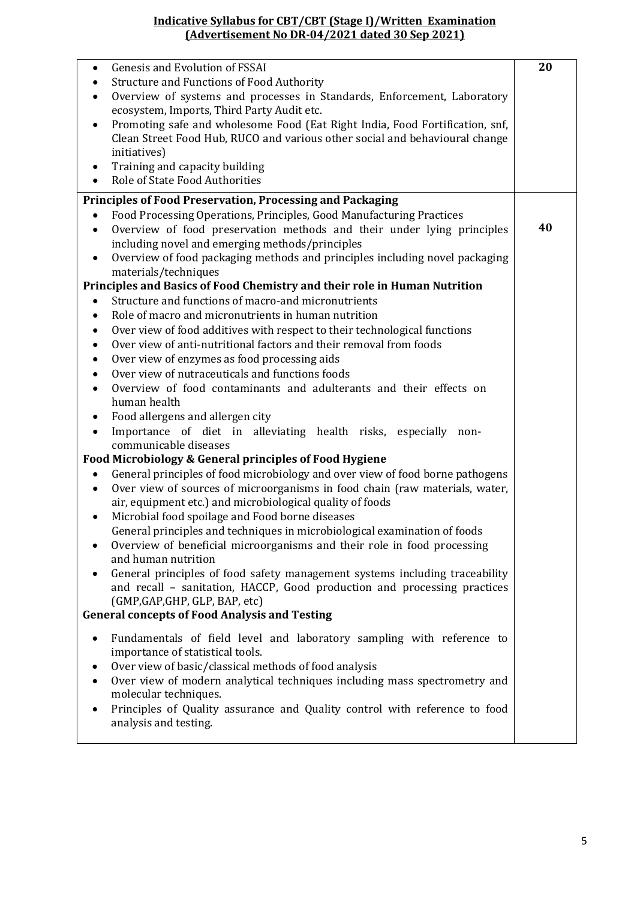| Genesis and Evolution of FSSAI                                                                                         | 20 |
|------------------------------------------------------------------------------------------------------------------------|----|
| <b>Structure and Functions of Food Authority</b><br>$\bullet$                                                          |    |
| Overview of systems and processes in Standards, Enforcement, Laboratory<br>٠                                           |    |
| ecosystem, Imports, Third Party Audit etc.                                                                             |    |
| Promoting safe and wholesome Food (Eat Right India, Food Fortification, snf,<br>$\bullet$                              |    |
| Clean Street Food Hub, RUCO and various other social and behavioural change                                            |    |
| initiatives)                                                                                                           |    |
| Training and capacity building<br>٠                                                                                    |    |
| Role of State Food Authorities<br>$\bullet$                                                                            |    |
| <b>Principles of Food Preservation, Processing and Packaging</b>                                                       |    |
| Food Processing Operations, Principles, Good Manufacturing Practices                                                   |    |
| Overview of food preservation methods and their under lying principles<br>$\bullet$                                    | 40 |
| including novel and emerging methods/principles                                                                        |    |
| Overview of food packaging methods and principles including novel packaging<br>$\bullet$                               |    |
| materials/techniques                                                                                                   |    |
| Principles and Basics of Food Chemistry and their role in Human Nutrition                                              |    |
| Structure and functions of macro-and micronutrients<br>$\bullet$                                                       |    |
| Role of macro and micronutrients in human nutrition                                                                    |    |
| Over view of food additives with respect to their technological functions<br>$\bullet$                                 |    |
| Over view of anti-nutritional factors and their removal from foods                                                     |    |
| Over view of enzymes as food processing aids                                                                           |    |
| Over view of nutraceuticals and functions foods<br>$\bullet$                                                           |    |
| Overview of food contaminants and adulterants and their effects on<br>$\bullet$                                        |    |
| human health                                                                                                           |    |
| Food allergens and allergen city<br>٠                                                                                  |    |
| Importance of diet in alleviating health risks, especially non-<br>$\bullet$                                           |    |
| communicable diseases                                                                                                  |    |
| Food Microbiology & General principles of Food Hygiene                                                                 |    |
| General principles of food microbiology and over view of food borne pathogens<br>$\bullet$                             |    |
| Over view of sources of microorganisms in food chain (raw materials, water,<br>٠                                       |    |
| air, equipment etc.) and microbiological quality of foods                                                              |    |
| Microbial food spoilage and Food borne diseases<br>٠                                                                   |    |
| General principles and techniques in microbiological examination of foods                                              |    |
| Overview of beneficial microorganisms and their role in food processing                                                |    |
| and human nutrition                                                                                                    |    |
| General principles of food safety management systems including traceability                                            |    |
| and recall - sanitation, HACCP, Good production and processing practices                                               |    |
| (GMP, GAP, GHP, GLP, BAP, etc)                                                                                         |    |
| <b>General concepts of Food Analysis and Testing</b>                                                                   |    |
|                                                                                                                        |    |
| Fundamentals of field level and laboratory sampling with reference to<br>$\bullet$<br>importance of statistical tools. |    |
| Over view of basic/classical methods of food analysis                                                                  |    |
| Over view of modern analytical techniques including mass spectrometry and                                              |    |
| ٠<br>molecular techniques.                                                                                             |    |
| Principles of Quality assurance and Quality control with reference to food<br>$\bullet$                                |    |
| analysis and testing.                                                                                                  |    |
|                                                                                                                        |    |
|                                                                                                                        |    |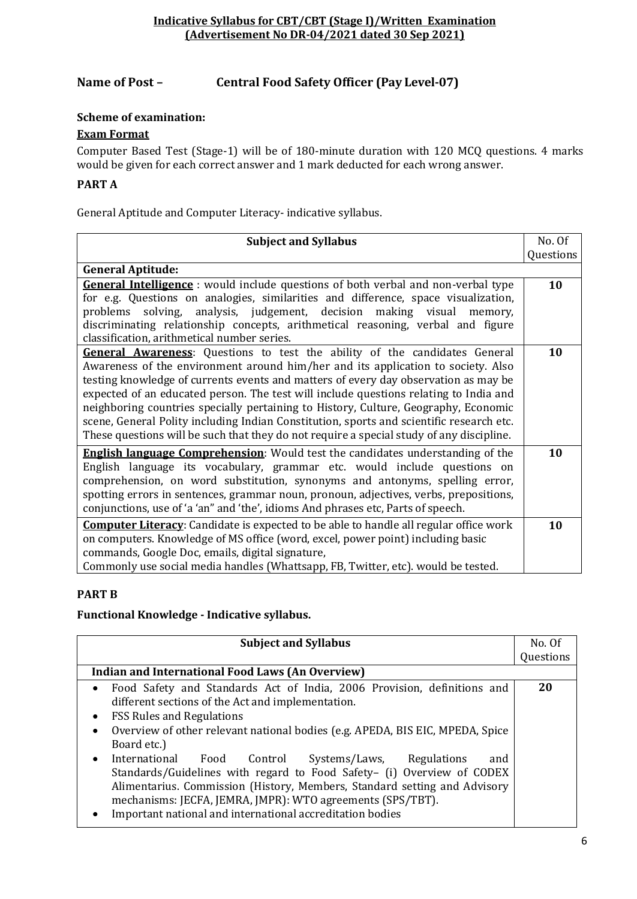## **Name of Post – Central Food Safety Officer (Pay Level-07)**

#### **Scheme of examination:**

#### **Exam Format**

Computer Based Test (Stage-1) will be of 180-minute duration with 120 MCQ questions. 4 marks would be given for each correct answer and 1 mark deducted for each wrong answer.

## **PART A**

General Aptitude and Computer Literacy- indicative syllabus.

| <b>Subject and Syllabus</b>                                                                                                                                                                                                                                                                                                                                                                                                                                                                                                                                                                                                          | No. Of    |
|--------------------------------------------------------------------------------------------------------------------------------------------------------------------------------------------------------------------------------------------------------------------------------------------------------------------------------------------------------------------------------------------------------------------------------------------------------------------------------------------------------------------------------------------------------------------------------------------------------------------------------------|-----------|
|                                                                                                                                                                                                                                                                                                                                                                                                                                                                                                                                                                                                                                      | Questions |
| <b>General Aptitude:</b>                                                                                                                                                                                                                                                                                                                                                                                                                                                                                                                                                                                                             |           |
| <b>General Intelligence</b> : would include questions of both verbal and non-verbal type<br>for e.g. Questions on analogies, similarities and difference, space visualization,<br>problems solving, analysis, judgement, decision making visual memory,<br>discriminating relationship concepts, arithmetical reasoning, verbal and figure<br>classification, arithmetical number series.                                                                                                                                                                                                                                            | 10        |
| <b>General Awareness:</b> Questions to test the ability of the candidates General<br>Awareness of the environment around him/her and its application to society. Also<br>testing knowledge of currents events and matters of every day observation as may be<br>expected of an educated person. The test will include questions relating to India and<br>neighboring countries specially pertaining to History, Culture, Geography, Economic<br>scene, General Polity including Indian Constitution, sports and scientific research etc.<br>These questions will be such that they do not require a special study of any discipline. | 10        |
| <b>English language Comprehension:</b> Would test the candidates understanding of the<br>English language its vocabulary, grammar etc. would include questions on<br>comprehension, on word substitution, synonyms and antonyms, spelling error,<br>spotting errors in sentences, grammar noun, pronoun, adjectives, verbs, prepositions,<br>conjunctions, use of 'a 'an" and 'the', idioms And phrases etc, Parts of speech.                                                                                                                                                                                                        | 10        |
| <b>Computer Literacy:</b> Candidate is expected to be able to handle all regular office work<br>on computers. Knowledge of MS office (word, excel, power point) including basic<br>commands, Google Doc, emails, digital signature,<br>Commonly use social media handles (Whattsapp, FB, Twitter, etc). would be tested.                                                                                                                                                                                                                                                                                                             | 10        |

#### **PART B**

#### **Functional Knowledge - Indicative syllabus.**

| <b>Subject and Syllabus</b>                                                                | No. Of    |
|--------------------------------------------------------------------------------------------|-----------|
|                                                                                            | Questions |
| <b>Indian and International Food Laws (An Overview)</b>                                    |           |
| • Food Safety and Standards Act of India, 2006 Provision, definitions and                  | 20        |
| different sections of the Act and implementation.                                          |           |
| <b>FSS Rules and Regulations</b>                                                           |           |
| Overview of other relevant national bodies (e.g. APEDA, BIS EIC, MPEDA, Spice<br>$\bullet$ |           |
| Board etc.)                                                                                |           |
| International<br>Food Control Systems/Laws, Regulations<br>and                             |           |
| Standards/Guidelines with regard to Food Safety- (i) Overview of CODEX                     |           |
| Alimentarius. Commission (History, Members, Standard setting and Advisory                  |           |
| mechanisms: JECFA, JEMRA, JMPR): WTO agreements (SPS/TBT).                                 |           |
| Important national and international accreditation bodies                                  |           |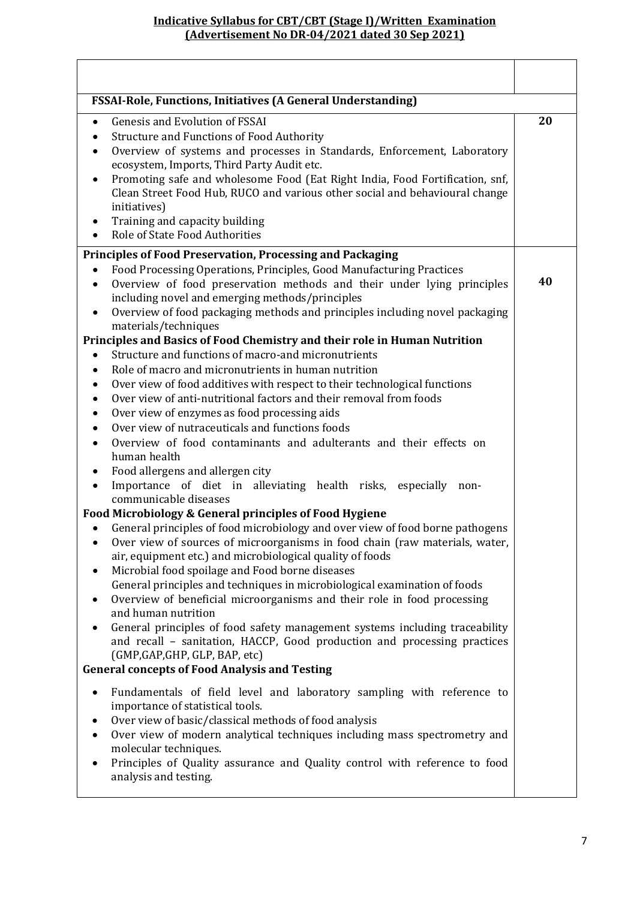| <b>FSSAI-Role, Functions, Initiatives (A General Understanding)</b>                                                                                                                                                                                                                                                                                                                          |    |
|----------------------------------------------------------------------------------------------------------------------------------------------------------------------------------------------------------------------------------------------------------------------------------------------------------------------------------------------------------------------------------------------|----|
| Genesis and Evolution of FSSAI<br>$\bullet$<br><b>Structure and Functions of Food Authority</b><br>٠<br>Overview of systems and processes in Standards, Enforcement, Laboratory<br>$\bullet$<br>ecosystem, Imports, Third Party Audit etc.                                                                                                                                                   | 20 |
| Promoting safe and wholesome Food (Eat Right India, Food Fortification, snf,<br>٠<br>Clean Street Food Hub, RUCO and various other social and behavioural change<br>initiatives)<br>Training and capacity building<br>Role of State Food Authorities                                                                                                                                         |    |
| <b>Principles of Food Preservation, Processing and Packaging</b>                                                                                                                                                                                                                                                                                                                             |    |
| Food Processing Operations, Principles, Good Manufacturing Practices<br>$\bullet$<br>Overview of food preservation methods and their under lying principles<br>٠<br>including novel and emerging methods/principles<br>Overview of food packaging methods and principles including novel packaging                                                                                           | 40 |
| materials/techniques                                                                                                                                                                                                                                                                                                                                                                         |    |
| Principles and Basics of Food Chemistry and their role in Human Nutrition<br>Structure and functions of macro-and micronutrients                                                                                                                                                                                                                                                             |    |
| $\bullet$<br>Role of macro and micronutrients in human nutrition<br>٠                                                                                                                                                                                                                                                                                                                        |    |
| Over view of food additives with respect to their technological functions<br>٠                                                                                                                                                                                                                                                                                                               |    |
| Over view of anti-nutritional factors and their removal from foods<br>٠                                                                                                                                                                                                                                                                                                                      |    |
| Over view of enzymes as food processing aids<br>٠                                                                                                                                                                                                                                                                                                                                            |    |
| Over view of nutraceuticals and functions foods<br>$\bullet$                                                                                                                                                                                                                                                                                                                                 |    |
| Overview of food contaminants and adulterants and their effects on<br>$\bullet$                                                                                                                                                                                                                                                                                                              |    |
| human health                                                                                                                                                                                                                                                                                                                                                                                 |    |
| Food allergens and allergen city                                                                                                                                                                                                                                                                                                                                                             |    |
| Importance of diet in alleviating health risks, especially non-<br>٠<br>communicable diseases                                                                                                                                                                                                                                                                                                |    |
| Food Microbiology & General principles of Food Hygiene                                                                                                                                                                                                                                                                                                                                       |    |
| General principles of food microbiology and over view of food borne pathogens<br>$\bullet$<br>Over view of sources of microorganisms in food chain (raw materials, water,<br>air, equipment etc.) and microbiological quality of foods<br>Microbial food spoilage and Food borne diseases<br>٠                                                                                               |    |
| General principles and techniques in microbiological examination of foods<br>Overview of beneficial microorganisms and their role in food processing<br>and human nutrition                                                                                                                                                                                                                  |    |
| General principles of food safety management systems including traceability<br>$\bullet$<br>and recall - sanitation, HACCP, Good production and processing practices<br>(GMP, GAP, GHP, GLP, BAP, etc)                                                                                                                                                                                       |    |
| <b>General concepts of Food Analysis and Testing</b>                                                                                                                                                                                                                                                                                                                                         |    |
| Fundamentals of field level and laboratory sampling with reference to<br>$\bullet$<br>importance of statistical tools.<br>Over view of basic/classical methods of food analysis<br>Over view of modern analytical techniques including mass spectrometry and<br>molecular techniques.<br>Principles of Quality assurance and Quality control with reference to food<br>analysis and testing. |    |
|                                                                                                                                                                                                                                                                                                                                                                                              |    |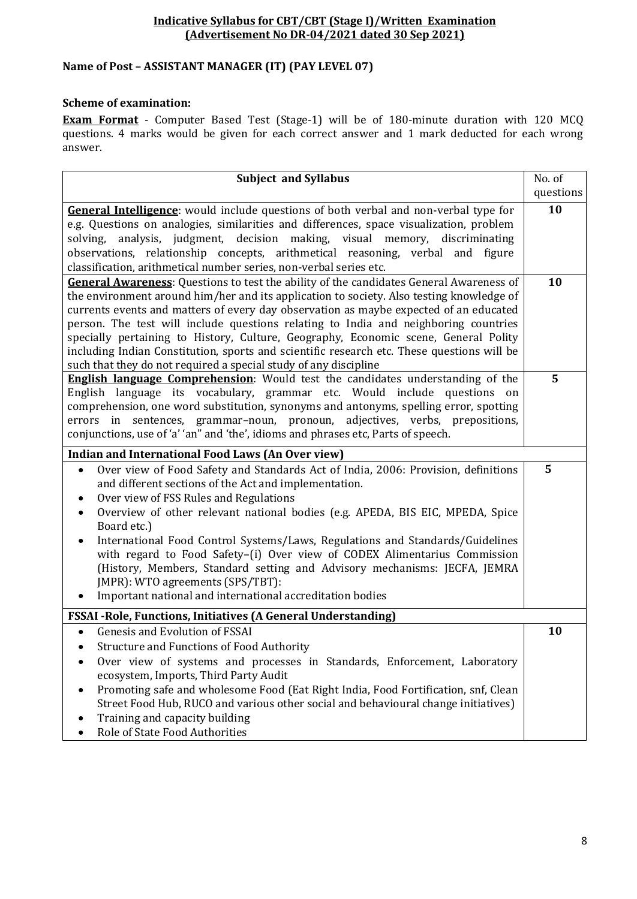# **Name of Post – ASSISTANT MANAGER (IT) (PAY LEVEL 07)**

### **Scheme of examination:**

**Exam Format** - Computer Based Test (Stage-1) will be of 180-minute duration with 120 MCQ questions. 4 marks would be given for each correct answer and 1 mark deducted for each wrong answer.

| <b>Subject and Syllabus</b>                                                                                                                                                                                                                                                                                                                                                                                                                                                                                                                                                                                                                                                                                           | No. of    |
|-----------------------------------------------------------------------------------------------------------------------------------------------------------------------------------------------------------------------------------------------------------------------------------------------------------------------------------------------------------------------------------------------------------------------------------------------------------------------------------------------------------------------------------------------------------------------------------------------------------------------------------------------------------------------------------------------------------------------|-----------|
|                                                                                                                                                                                                                                                                                                                                                                                                                                                                                                                                                                                                                                                                                                                       | questions |
| General Intelligence: would include questions of both verbal and non-verbal type for                                                                                                                                                                                                                                                                                                                                                                                                                                                                                                                                                                                                                                  | 10        |
| e.g. Questions on analogies, similarities and differences, space visualization, problem                                                                                                                                                                                                                                                                                                                                                                                                                                                                                                                                                                                                                               |           |
| solving, analysis, judgment, decision making, visual memory, discriminating                                                                                                                                                                                                                                                                                                                                                                                                                                                                                                                                                                                                                                           |           |
| observations, relationship concepts, arithmetical reasoning, verbal and figure                                                                                                                                                                                                                                                                                                                                                                                                                                                                                                                                                                                                                                        |           |
| classification, arithmetical number series, non-verbal series etc.                                                                                                                                                                                                                                                                                                                                                                                                                                                                                                                                                                                                                                                    |           |
| <b>General Awareness:</b> Questions to test the ability of the candidates General Awareness of                                                                                                                                                                                                                                                                                                                                                                                                                                                                                                                                                                                                                        | 10        |
| the environment around him/her and its application to society. Also testing knowledge of                                                                                                                                                                                                                                                                                                                                                                                                                                                                                                                                                                                                                              |           |
| currents events and matters of every day observation as maybe expected of an educated<br>person. The test will include questions relating to India and neighboring countries                                                                                                                                                                                                                                                                                                                                                                                                                                                                                                                                          |           |
| specially pertaining to History, Culture, Geography, Economic scene, General Polity                                                                                                                                                                                                                                                                                                                                                                                                                                                                                                                                                                                                                                   |           |
| including Indian Constitution, sports and scientific research etc. These questions will be                                                                                                                                                                                                                                                                                                                                                                                                                                                                                                                                                                                                                            |           |
| such that they do not required a special study of any discipline                                                                                                                                                                                                                                                                                                                                                                                                                                                                                                                                                                                                                                                      |           |
| <b>English language Comprehension:</b> Would test the candidates understanding of the                                                                                                                                                                                                                                                                                                                                                                                                                                                                                                                                                                                                                                 | 5         |
| English language its vocabulary, grammar etc. Would include questions on                                                                                                                                                                                                                                                                                                                                                                                                                                                                                                                                                                                                                                              |           |
| comprehension, one word substitution, synonyms and antonyms, spelling error, spotting                                                                                                                                                                                                                                                                                                                                                                                                                                                                                                                                                                                                                                 |           |
| errors in sentences, grammar-noun, pronoun, adjectives, verbs, prepositions,                                                                                                                                                                                                                                                                                                                                                                                                                                                                                                                                                                                                                                          |           |
| conjunctions, use of 'a' 'an" and 'the', idioms and phrases etc, Parts of speech.                                                                                                                                                                                                                                                                                                                                                                                                                                                                                                                                                                                                                                     |           |
| <b>Indian and International Food Laws (An Over view)</b>                                                                                                                                                                                                                                                                                                                                                                                                                                                                                                                                                                                                                                                              |           |
| Over view of Food Safety and Standards Act of India, 2006: Provision, definitions                                                                                                                                                                                                                                                                                                                                                                                                                                                                                                                                                                                                                                     | 5         |
| and different sections of the Act and implementation.                                                                                                                                                                                                                                                                                                                                                                                                                                                                                                                                                                                                                                                                 |           |
| Over view of FSS Rules and Regulations                                                                                                                                                                                                                                                                                                                                                                                                                                                                                                                                                                                                                                                                                |           |
| Overview of other relevant national bodies (e.g. APEDA, BIS EIC, MPEDA, Spice                                                                                                                                                                                                                                                                                                                                                                                                                                                                                                                                                                                                                                         |           |
| Board etc.)                                                                                                                                                                                                                                                                                                                                                                                                                                                                                                                                                                                                                                                                                                           |           |
| International Food Control Systems/Laws, Regulations and Standards/Guidelines                                                                                                                                                                                                                                                                                                                                                                                                                                                                                                                                                                                                                                         |           |
| with regard to Food Safety-(i) Over view of CODEX Alimentarius Commission                                                                                                                                                                                                                                                                                                                                                                                                                                                                                                                                                                                                                                             |           |
|                                                                                                                                                                                                                                                                                                                                                                                                                                                                                                                                                                                                                                                                                                                       |           |
|                                                                                                                                                                                                                                                                                                                                                                                                                                                                                                                                                                                                                                                                                                                       |           |
|                                                                                                                                                                                                                                                                                                                                                                                                                                                                                                                                                                                                                                                                                                                       |           |
|                                                                                                                                                                                                                                                                                                                                                                                                                                                                                                                                                                                                                                                                                                                       |           |
|                                                                                                                                                                                                                                                                                                                                                                                                                                                                                                                                                                                                                                                                                                                       |           |
|                                                                                                                                                                                                                                                                                                                                                                                                                                                                                                                                                                                                                                                                                                                       |           |
|                                                                                                                                                                                                                                                                                                                                                                                                                                                                                                                                                                                                                                                                                                                       |           |
|                                                                                                                                                                                                                                                                                                                                                                                                                                                                                                                                                                                                                                                                                                                       |           |
|                                                                                                                                                                                                                                                                                                                                                                                                                                                                                                                                                                                                                                                                                                                       |           |
|                                                                                                                                                                                                                                                                                                                                                                                                                                                                                                                                                                                                                                                                                                                       |           |
|                                                                                                                                                                                                                                                                                                                                                                                                                                                                                                                                                                                                                                                                                                                       |           |
| (History, Members, Standard setting and Advisory mechanisms: JECFA, JEMRA<br>JMPR): WTO agreements (SPS/TBT):<br>Important national and international accreditation bodies<br><b>FSSAI</b> - Role, Functions, Initiatives (A General Understanding)<br><b>Genesis and Evolution of FSSAI</b><br><b>Structure and Functions of Food Authority</b><br>Over view of systems and processes in Standards, Enforcement, Laboratory<br>ecosystem, Imports, Third Party Audit<br>Promoting safe and wholesome Food (Eat Right India, Food Fortification, snf, Clean<br>Street Food Hub, RUCO and various other social and behavioural change initiatives)<br>Training and capacity building<br>Role of State Food Authorities | 10        |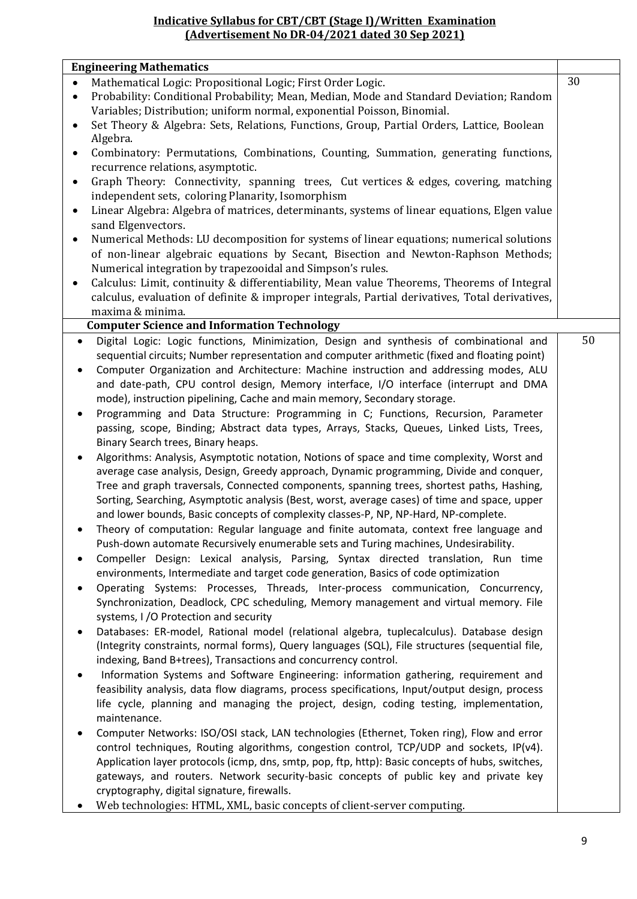#### **Engineering Mathematics**

|           | Engineering Mathematics                                                                          |    |
|-----------|--------------------------------------------------------------------------------------------------|----|
| $\bullet$ | Mathematical Logic: Propositional Logic; First Order Logic.                                      | 30 |
| $\bullet$ | Probability: Conditional Probability; Mean, Median, Mode and Standard Deviation; Random          |    |
|           | Variables; Distribution; uniform normal, exponential Poisson, Binomial.                          |    |
|           | Set Theory & Algebra: Sets, Relations, Functions, Group, Partial Orders, Lattice, Boolean        |    |
|           | Algebra.                                                                                         |    |
| $\bullet$ | Combinatory: Permutations, Combinations, Counting, Summation, generating functions,              |    |
|           | recurrence relations, asymptotic.                                                                |    |
| ٠         | Graph Theory: Connectivity, spanning trees, Cut vertices & edges, covering, matching             |    |
|           | independent sets, coloring Planarity, Isomorphism                                                |    |
| $\bullet$ | Linear Algebra: Algebra of matrices, determinants, systems of linear equations, Elgen value      |    |
|           | sand Elgenvectors.                                                                               |    |
| ٠         | Numerical Methods: LU decomposition for systems of linear equations; numerical solutions         |    |
|           | of non-linear algebraic equations by Secant, Bisection and Newton-Raphson Methods;               |    |
|           | Numerical integration by trapezooidal and Simpson's rules.                                       |    |
| ٠         | Calculus: Limit, continuity & differentiability, Mean value Theorems, Theorems of Integral       |    |
|           | calculus, evaluation of definite & improper integrals, Partial derivatives, Total derivatives,   |    |
|           | maxima & minima.                                                                                 |    |
|           | <b>Computer Science and Information Technology</b>                                               |    |
|           |                                                                                                  | 50 |
| $\bullet$ | Digital Logic: Logic functions, Minimization, Design and synthesis of combinational and          |    |
|           | sequential circuits; Number representation and computer arithmetic (fixed and floating point)    |    |
| $\bullet$ | Computer Organization and Architecture: Machine instruction and addressing modes, ALU            |    |
|           | and date-path, CPU control design, Memory interface, I/O interface (interrupt and DMA            |    |
|           | mode), instruction pipelining, Cache and main memory, Secondary storage.                         |    |
| ٠         | Programming and Data Structure: Programming in C; Functions, Recursion, Parameter                |    |
|           | passing, scope, Binding; Abstract data types, Arrays, Stacks, Queues, Linked Lists, Trees,       |    |
|           | Binary Search trees, Binary heaps.                                                               |    |
|           | Algorithms: Analysis, Asymptotic notation, Notions of space and time complexity, Worst and       |    |
|           | average case analysis, Design, Greedy approach, Dynamic programming, Divide and conquer,         |    |
|           | Tree and graph traversals, Connected components, spanning trees, shortest paths, Hashing,        |    |
|           | Sorting, Searching, Asymptotic analysis (Best, worst, average cases) of time and space, upper    |    |
|           | and lower bounds, Basic concepts of complexity classes-P, NP, NP-Hard, NP-complete.              |    |
|           | Theory of computation: Regular language and finite automata, context free language and           |    |
|           | Push-down automate Recursively enumerable sets and Turing machines, Undesirability.              |    |
|           | Compeller Design: Lexical analysis, Parsing, Syntax directed translation, Run time               |    |
|           | environments, Intermediate and target code generation, Basics of code optimization               |    |
| ٠         | Operating Systems: Processes, Threads, Inter-process communication, Concurrency,                 |    |
|           | Synchronization, Deadlock, CPC scheduling, Memory management and virtual memory. File            |    |
|           | systems, I /O Protection and security                                                            |    |
|           |                                                                                                  |    |
| $\bullet$ | Databases: ER-model, Rational model (relational algebra, tuplecalculus). Database design         |    |
|           | (Integrity constraints, normal forms), Query languages (SQL), File structures (sequential file,  |    |
|           | indexing, Band B+trees), Transactions and concurrency control.                                   |    |
|           | Information Systems and Software Engineering: information gathering, requirement and             |    |
|           | feasibility analysis, data flow diagrams, process specifications, Input/output design, process   |    |
|           | life cycle, planning and managing the project, design, coding testing, implementation,           |    |
|           | maintenance.                                                                                     |    |
|           | Computer Networks: ISO/OSI stack, LAN technologies (Ethernet, Token ring), Flow and error        |    |
|           | control techniques, Routing algorithms, congestion control, TCP/UDP and sockets, IP(v4).         |    |
|           | Application layer protocols (icmp, dns, smtp, pop, ftp, http): Basic concepts of hubs, switches, |    |
|           | gateways, and routers. Network security-basic concepts of public key and private key             |    |
|           | cryptography, digital signature, firewalls.                                                      |    |
|           | Web technologies: HTML, XML, basic concepts of client-server computing.                          |    |

Web technologies: HTML, XML, basic concepts of client-server computing.

٦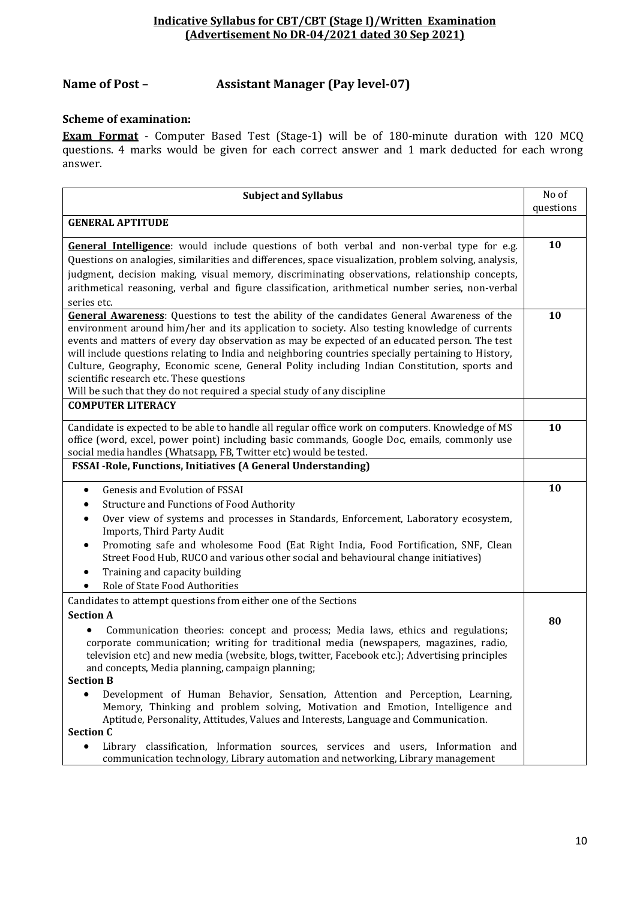# **Name of Post – Assistant Manager (Pay level-07)**

#### **Scheme of examination:**

**Exam Format** - Computer Based Test (Stage-1) will be of 180-minute duration with 120 MCQ questions. 4 marks would be given for each correct answer and 1 mark deducted for each wrong answer.

| <b>Subject and Syllabus</b>                                                                                                                                                                                                                                                                                                                                                                                                                                                                                                                                                                                                          | No of     |
|--------------------------------------------------------------------------------------------------------------------------------------------------------------------------------------------------------------------------------------------------------------------------------------------------------------------------------------------------------------------------------------------------------------------------------------------------------------------------------------------------------------------------------------------------------------------------------------------------------------------------------------|-----------|
|                                                                                                                                                                                                                                                                                                                                                                                                                                                                                                                                                                                                                                      | questions |
| <b>GENERAL APTITUDE</b>                                                                                                                                                                                                                                                                                                                                                                                                                                                                                                                                                                                                              |           |
| General Intelligence: would include questions of both verbal and non-verbal type for e.g.<br>Questions on analogies, similarities and differences, space visualization, problem solving, analysis,<br>judgment, decision making, visual memory, discriminating observations, relationship concepts,<br>arithmetical reasoning, verbal and figure classification, arithmetical number series, non-verbal<br>series etc.                                                                                                                                                                                                               | 10        |
| <b>General Awareness:</b> Questions to test the ability of the candidates General Awareness of the<br>environment around him/her and its application to society. Also testing knowledge of currents<br>events and matters of every day observation as may be expected of an educated person. The test<br>will include questions relating to India and neighboring countries specially pertaining to History,<br>Culture, Geography, Economic scene, General Polity including Indian Constitution, sports and<br>scientific research etc. These questions<br>Will be such that they do not required a special study of any discipline | 10        |
| <b>COMPUTER LITERACY</b>                                                                                                                                                                                                                                                                                                                                                                                                                                                                                                                                                                                                             |           |
| Candidate is expected to be able to handle all regular office work on computers. Knowledge of MS<br>office (word, excel, power point) including basic commands, Google Doc, emails, commonly use<br>social media handles (Whatsapp, FB, Twitter etc) would be tested.                                                                                                                                                                                                                                                                                                                                                                | 10        |
| FSSAI - Role, Functions, Initiatives (A General Understanding)                                                                                                                                                                                                                                                                                                                                                                                                                                                                                                                                                                       |           |
| Genesis and Evolution of FSSAI<br>$\bullet$<br>Structure and Functions of Food Authority<br>٠<br>Over view of systems and processes in Standards, Enforcement, Laboratory ecosystem,<br>Imports, Third Party Audit<br>Promoting safe and wholesome Food (Eat Right India, Food Fortification, SNF, Clean<br>٠<br>Street Food Hub, RUCO and various other social and behavioural change initiatives)<br>Training and capacity building<br>$\bullet$<br>Role of State Food Authorities                                                                                                                                                 | 10        |
| Candidates to attempt questions from either one of the Sections                                                                                                                                                                                                                                                                                                                                                                                                                                                                                                                                                                      |           |
| <b>Section A</b><br>Communication theories: concept and process; Media laws, ethics and regulations;<br>corporate communication; writing for traditional media (newspapers, magazines, radio,<br>television etc) and new media (website, blogs, twitter, Facebook etc.); Advertising principles<br>and concepts, Media planning, campaign planning;                                                                                                                                                                                                                                                                                  | 80        |
| <b>Section B</b>                                                                                                                                                                                                                                                                                                                                                                                                                                                                                                                                                                                                                     |           |
| Development of Human Behavior, Sensation, Attention and Perception, Learning,<br>$\bullet$<br>Memory, Thinking and problem solving, Motivation and Emotion, Intelligence and<br>Aptitude, Personality, Attitudes, Values and Interests, Language and Communication.<br><b>Section C</b><br>Library classification, Information sources, services and users, Information and<br>$\bullet$                                                                                                                                                                                                                                             |           |
| communication technology, Library automation and networking, Library management                                                                                                                                                                                                                                                                                                                                                                                                                                                                                                                                                      |           |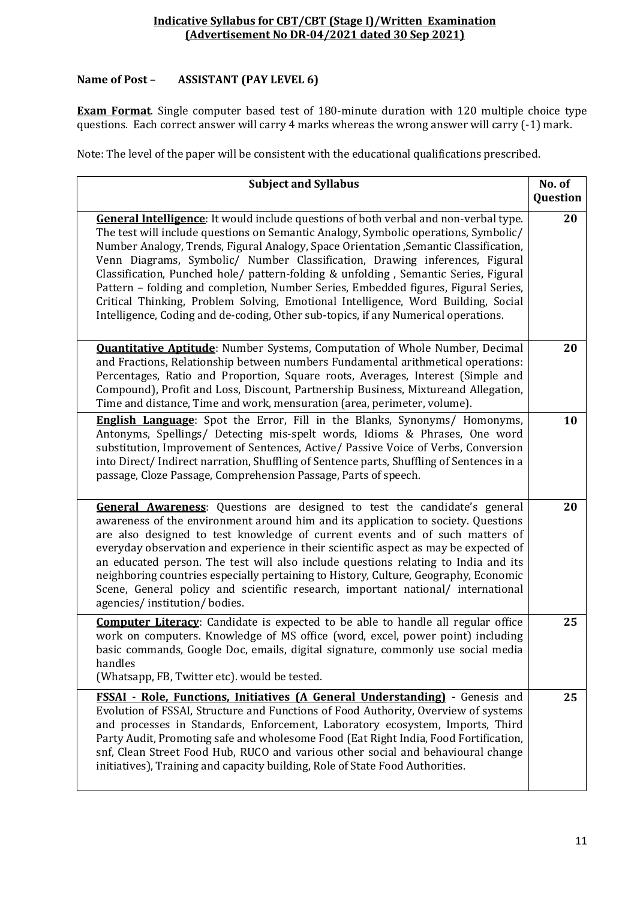## **Name of Post – ASSISTANT (PAY LEVEL 6)**

**Exam Format**. Single computer based test of 180-minute duration with 120 multiple choice type questions. Each correct answer will carry 4 marks whereas the wrong answer will carry (-1) mark.

| <b>Subject and Syllabus</b>                                                                                                                                                                                                                                                                                                                                                                                                                                                                                                                                                                                                                                                                                 | No. of<br>Question |
|-------------------------------------------------------------------------------------------------------------------------------------------------------------------------------------------------------------------------------------------------------------------------------------------------------------------------------------------------------------------------------------------------------------------------------------------------------------------------------------------------------------------------------------------------------------------------------------------------------------------------------------------------------------------------------------------------------------|--------------------|
| General Intelligence: It would include questions of both verbal and non-verbal type.<br>The test will include questions on Semantic Analogy, Symbolic operations, Symbolic/<br>Number Analogy, Trends, Figural Analogy, Space Orientation , Semantic Classification,<br>Venn Diagrams, Symbolic/ Number Classification, Drawing inferences, Figural<br>Classification, Punched hole/ pattern-folding & unfolding, Semantic Series, Figural<br>Pattern - folding and completion, Number Series, Embedded figures, Figural Series,<br>Critical Thinking, Problem Solving, Emotional Intelligence, Word Building, Social<br>Intelligence, Coding and de-coding, Other sub-topics, if any Numerical operations. | 20                 |
| <b>Quantitative Aptitude:</b> Number Systems, Computation of Whole Number, Decimal<br>and Fractions, Relationship between numbers Fundamental arithmetical operations:<br>Percentages, Ratio and Proportion, Square roots, Averages, Interest (Simple and<br>Compound), Profit and Loss, Discount, Partnership Business, Mixtureand Allegation,<br>Time and distance, Time and work, mensuration (area, perimeter, volume).                                                                                                                                                                                                                                                                                 | 20                 |
| <b>English Language:</b> Spot the Error, Fill in the Blanks, Synonyms/ Homonyms,<br>Antonyms, Spellings/ Detecting mis-spelt words, Idioms & Phrases, One word<br>substitution, Improvement of Sentences, Active/ Passive Voice of Verbs, Conversion<br>into Direct/Indirect narration, Shuffling of Sentence parts, Shuffling of Sentences in a<br>passage, Cloze Passage, Comprehension Passage, Parts of speech.                                                                                                                                                                                                                                                                                         | 10                 |
| General Awareness: Questions are designed to test the candidate's general<br>awareness of the environment around him and its application to society. Questions<br>are also designed to test knowledge of current events and of such matters of<br>everyday observation and experience in their scientific aspect as may be expected of<br>an educated person. The test will also include questions relating to India and its<br>neighboring countries especially pertaining to History, Culture, Geography, Economic<br>Scene, General policy and scientific research, important national/ international<br>agencies/institution/bodies.                                                                    | 20                 |
| <b>Computer Literacy:</b> Candidate is expected to be able to handle all regular office<br>work on computers. Knowledge of MS office (word, excel, power point) including<br>basic commands, Google Doc, emails, digital signature, commonly use social media<br>handles<br>(Whatsapp, FB, Twitter etc). would be tested.                                                                                                                                                                                                                                                                                                                                                                                   | 25                 |
| <b>FSSAI</b> - Role, Functions, Initiatives (A General Understanding) - Genesis and<br>Evolution of FSSAI, Structure and Functions of Food Authority, Overview of systems<br>and processes in Standards, Enforcement, Laboratory ecosystem, Imports, Third<br>Party Audit, Promoting safe and wholesome Food (Eat Right India, Food Fortification,<br>snf, Clean Street Food Hub, RUCO and various other social and behavioural change<br>initiatives), Training and capacity building, Role of State Food Authorities.                                                                                                                                                                                     | 25                 |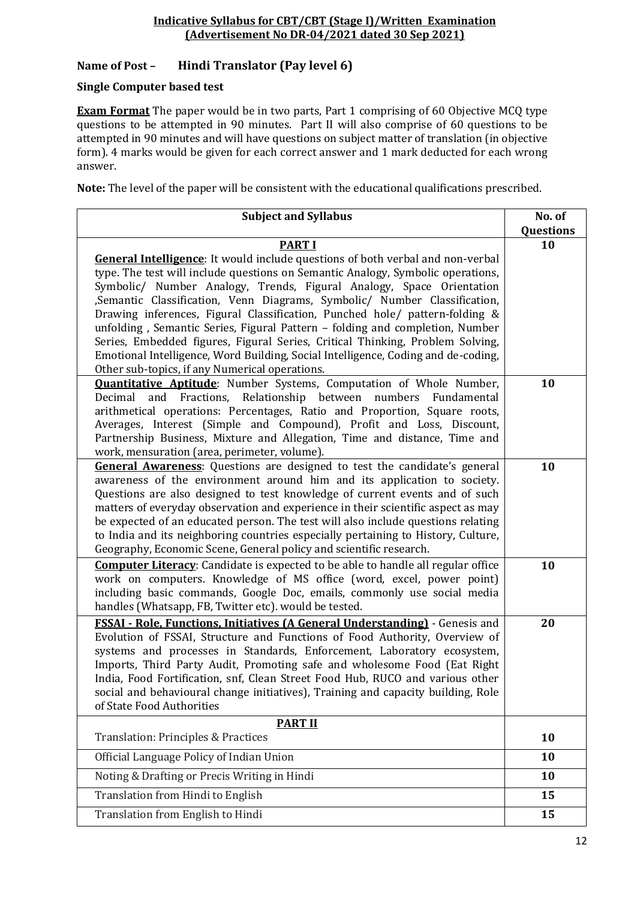## **Name of Post – Hindi Translator (Pay level 6)**

#### **Single Computer based test**

**Exam Format** The paper would be in two parts, Part 1 comprising of 60 Objective MCQ type questions to be attempted in 90 minutes. Part II will also comprise of 60 questions to be attempted in 90 minutes and will have questions on subject matter of translation (in objective form). 4 marks would be given for each correct answer and 1 mark deducted for each wrong answer.

| <b>Subject and Syllabus</b>                                                                                                                                           | No. of    |
|-----------------------------------------------------------------------------------------------------------------------------------------------------------------------|-----------|
|                                                                                                                                                                       | Questions |
| <b>PART I</b>                                                                                                                                                         | 10        |
| <b>General Intelligence:</b> It would include questions of both verbal and non-verbal                                                                                 |           |
| type. The test will include questions on Semantic Analogy, Symbolic operations,                                                                                       |           |
| Symbolic/ Number Analogy, Trends, Figural Analogy, Space Orientation                                                                                                  |           |
| , Semantic Classification, Venn Diagrams, Symbolic/ Number Classification,                                                                                            |           |
| Drawing inferences, Figural Classification, Punched hole/ pattern-folding &<br>unfolding, Semantic Series, Figural Pattern - folding and completion, Number           |           |
| Series, Embedded figures, Figural Series, Critical Thinking, Problem Solving,                                                                                         |           |
| Emotional Intelligence, Word Building, Social Intelligence, Coding and de-coding,                                                                                     |           |
| Other sub-topics, if any Numerical operations.                                                                                                                        |           |
| <b>Quantitative Aptitude:</b> Number Systems, Computation of Whole Number,                                                                                            | 10        |
| and Fractions, Relationship between numbers<br>Decimal<br>Fundamental                                                                                                 |           |
| arithmetical operations: Percentages, Ratio and Proportion, Square roots,                                                                                             |           |
| Averages, Interest (Simple and Compound), Profit and Loss, Discount,                                                                                                  |           |
| Partnership Business, Mixture and Allegation, Time and distance, Time and                                                                                             |           |
| work, mensuration (area, perimeter, volume).                                                                                                                          |           |
| <b>General Awareness:</b> Questions are designed to test the candidate's general                                                                                      | 10        |
| awareness of the environment around him and its application to society.                                                                                               |           |
| Questions are also designed to test knowledge of current events and of such                                                                                           |           |
| matters of everyday observation and experience in their scientific aspect as may                                                                                      |           |
| be expected of an educated person. The test will also include questions relating<br>to India and its neighboring countries especially pertaining to History, Culture, |           |
| Geography, Economic Scene, General policy and scientific research.                                                                                                    |           |
| <b>Computer Literacy:</b> Candidate is expected to be able to handle all regular office                                                                               | 10        |
| work on computers. Knowledge of MS office (word, excel, power point)                                                                                                  |           |
| including basic commands, Google Doc, emails, commonly use social media                                                                                               |           |
| handles (Whatsapp, FB, Twitter etc). would be tested.                                                                                                                 |           |
| <b>FSSAI - Role, Functions, Initiatives (A General Understanding)</b> - Genesis and                                                                                   | 20        |
| Evolution of FSSAI, Structure and Functions of Food Authority, Overview of                                                                                            |           |
| systems and processes in Standards, Enforcement, Laboratory ecosystem,                                                                                                |           |
| Imports, Third Party Audit, Promoting safe and wholesome Food (Eat Right                                                                                              |           |
| India, Food Fortification, snf, Clean Street Food Hub, RUCO and various other                                                                                         |           |
| social and behavioural change initiatives), Training and capacity building, Role                                                                                      |           |
| of State Food Authorities                                                                                                                                             |           |
| <b>PART II</b>                                                                                                                                                        |           |
| Translation: Principles & Practices                                                                                                                                   | 10        |
| Official Language Policy of Indian Union                                                                                                                              | 10        |
| Noting & Drafting or Precis Writing in Hindi                                                                                                                          | 10        |
| Translation from Hindi to English                                                                                                                                     | 15        |
| Translation from English to Hindi                                                                                                                                     | 15        |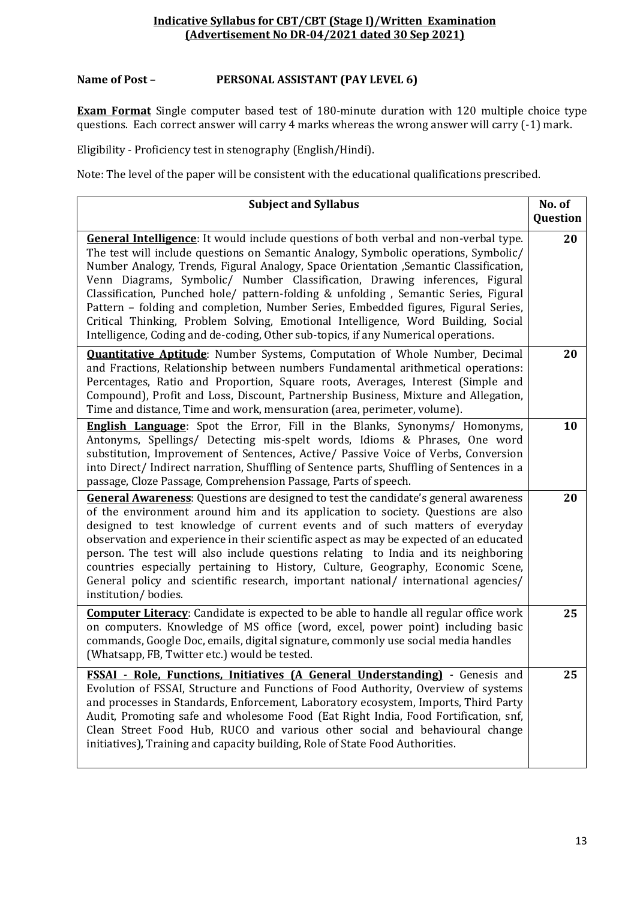#### **Name of Post – PERSONAL ASSISTANT (PAY LEVEL 6)**

**Exam Format** Single computer based test of 180-minute duration with 120 multiple choice type questions. Each correct answer will carry 4 marks whereas the wrong answer will carry (-1) mark.

Eligibility - Proficiency test in stenography (English/Hindi).

| <b>Subject and Syllabus</b>                                                                                                                                                                                                                                                                                                                                                                                                                                                                                                                                                                                                                                                                                        | No. of<br>Question |
|--------------------------------------------------------------------------------------------------------------------------------------------------------------------------------------------------------------------------------------------------------------------------------------------------------------------------------------------------------------------------------------------------------------------------------------------------------------------------------------------------------------------------------------------------------------------------------------------------------------------------------------------------------------------------------------------------------------------|--------------------|
| <b>General Intelligence:</b> It would include questions of both verbal and non-verbal type.<br>The test will include questions on Semantic Analogy, Symbolic operations, Symbolic/<br>Number Analogy, Trends, Figural Analogy, Space Orientation , Semantic Classification,<br>Venn Diagrams, Symbolic/ Number Classification, Drawing inferences, Figural<br>Classification, Punched hole/ pattern-folding & unfolding, Semantic Series, Figural<br>Pattern - folding and completion, Number Series, Embedded figures, Figural Series,<br>Critical Thinking, Problem Solving, Emotional Intelligence, Word Building, Social<br>Intelligence, Coding and de-coding, Other sub-topics, if any Numerical operations. | 20                 |
| <b>Quantitative Aptitude:</b> Number Systems, Computation of Whole Number, Decimal<br>and Fractions, Relationship between numbers Fundamental arithmetical operations:<br>Percentages, Ratio and Proportion, Square roots, Averages, Interest (Simple and<br>Compound), Profit and Loss, Discount, Partnership Business, Mixture and Allegation,<br>Time and distance, Time and work, mensuration (area, perimeter, volume).                                                                                                                                                                                                                                                                                       | 20                 |
| <b>English Language:</b> Spot the Error, Fill in the Blanks, Synonyms/ Homonyms,<br>Antonyms, Spellings/ Detecting mis-spelt words, Idioms & Phrases, One word<br>substitution, Improvement of Sentences, Active/ Passive Voice of Verbs, Conversion<br>into Direct/Indirect narration, Shuffling of Sentence parts, Shuffling of Sentences in a<br>passage, Cloze Passage, Comprehension Passage, Parts of speech.                                                                                                                                                                                                                                                                                                | 10                 |
| <b>General Awareness:</b> Questions are designed to test the candidate's general awareness<br>of the environment around him and its application to society. Questions are also<br>designed to test knowledge of current events and of such matters of everyday<br>observation and experience in their scientific aspect as may be expected of an educated<br>person. The test will also include questions relating to India and its neighboring<br>countries especially pertaining to History, Culture, Geography, Economic Scene,<br>General policy and scientific research, important national/ international agencies/<br>institution/bodies.                                                                   | 20                 |
| <b>Computer Literacy:</b> Candidate is expected to be able to handle all regular office work<br>on computers. Knowledge of MS office (word, excel, power point) including basic<br>commands, Google Doc, emails, digital signature, commonly use social media handles<br>(Whatsapp, FB, Twitter etc.) would be tested.                                                                                                                                                                                                                                                                                                                                                                                             | 25                 |
| FSSAI - Role, Functions, Initiatives (A General Understanding) - Genesis and<br>Evolution of FSSAI, Structure and Functions of Food Authority, Overview of systems<br>and processes in Standards, Enforcement, Laboratory ecosystem, Imports, Third Party<br>Audit, Promoting safe and wholesome Food (Eat Right India, Food Fortification, snf,<br>Clean Street Food Hub, RUCO and various other social and behavioural change<br>initiatives), Training and capacity building, Role of State Food Authorities.                                                                                                                                                                                                   | 25                 |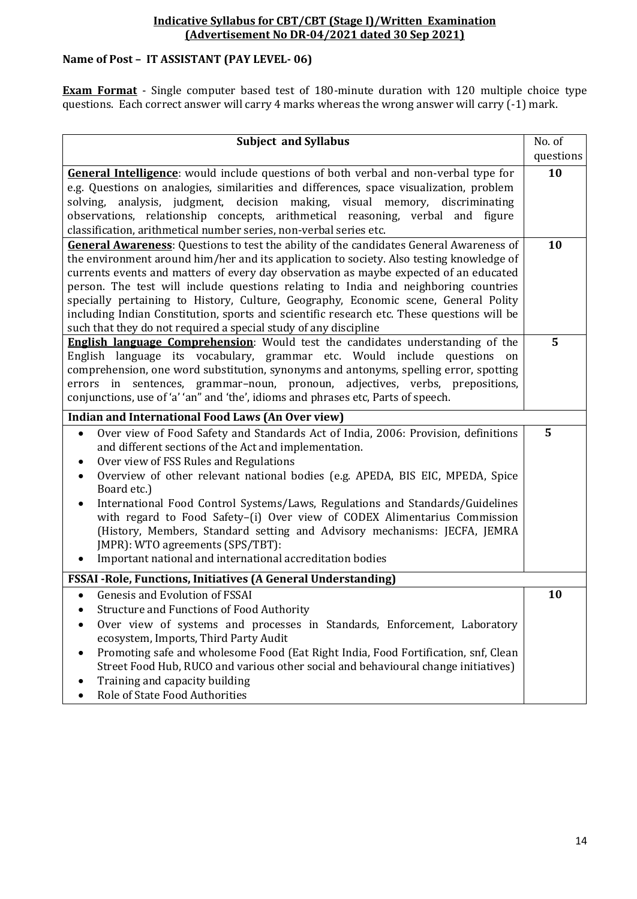# **Name of Post – IT ASSISTANT (PAY LEVEL- 06)**

**Exam Format** - Single computer based test of 180-minute duration with 120 multiple choice type questions. Each correct answer will carry 4 marks whereas the wrong answer will carry (-1) mark.

| <b>Subject and Syllabus</b>                                                                                                                                       | No. of    |
|-------------------------------------------------------------------------------------------------------------------------------------------------------------------|-----------|
|                                                                                                                                                                   | questions |
| General Intelligence: would include questions of both verbal and non-verbal type for                                                                              | 10        |
| e.g. Questions on analogies, similarities and differences, space visualization, problem                                                                           |           |
| solving, analysis, judgment, decision making, visual memory, discriminating                                                                                       |           |
| observations, relationship concepts, arithmetical reasoning, verbal and figure                                                                                    |           |
| classification, arithmetical number series, non-verbal series etc.                                                                                                |           |
| <b>General Awareness:</b> Questions to test the ability of the candidates General Awareness of                                                                    | 10        |
| the environment around him/her and its application to society. Also testing knowledge of                                                                          |           |
| currents events and matters of every day observation as maybe expected of an educated                                                                             |           |
| person. The test will include questions relating to India and neighboring countries                                                                               |           |
| specially pertaining to History, Culture, Geography, Economic scene, General Polity                                                                               |           |
| including Indian Constitution, sports and scientific research etc. These questions will be                                                                        |           |
| such that they do not required a special study of any discipline                                                                                                  |           |
| <b>English language Comprehension:</b> Would test the candidates understanding of the                                                                             | 5         |
| English language its vocabulary, grammar etc. Would include questions on<br>comprehension, one word substitution, synonyms and antonyms, spelling error, spotting |           |
| errors in sentences, grammar-noun, pronoun, adjectives, verbs, prepositions,                                                                                      |           |
| conjunctions, use of 'a' 'an" and 'the', idioms and phrases etc, Parts of speech.                                                                                 |           |
|                                                                                                                                                                   |           |
| <b>Indian and International Food Laws (An Over view)</b>                                                                                                          |           |
| Over view of Food Safety and Standards Act of India, 2006: Provision, definitions<br>$\bullet$                                                                    | 5         |
| and different sections of the Act and implementation.                                                                                                             |           |
| Over view of FSS Rules and Regulations                                                                                                                            |           |
| Overview of other relevant national bodies (e.g. APEDA, BIS EIC, MPEDA, Spice<br>$\bullet$<br>Board etc.)                                                         |           |
| International Food Control Systems/Laws, Regulations and Standards/Guidelines                                                                                     |           |
| with regard to Food Safety-(i) Over view of CODEX Alimentarius Commission                                                                                         |           |
| (History, Members, Standard setting and Advisory mechanisms: JECFA, JEMRA                                                                                         |           |
| JMPR): WTO agreements (SPS/TBT):                                                                                                                                  |           |
| Important national and international accreditation bodies                                                                                                         |           |
| <b>FSSAI - Role, Functions, Initiatives (A General Understanding)</b>                                                                                             |           |
| <b>Genesis and Evolution of FSSAI</b>                                                                                                                             | 10        |
| <b>Structure and Functions of Food Authority</b>                                                                                                                  |           |
| Over view of systems and processes in Standards, Enforcement, Laboratory                                                                                          |           |
| ecosystem, Imports, Third Party Audit                                                                                                                             |           |
| Promoting safe and wholesome Food (Eat Right India, Food Fortification, snf, Clean                                                                                |           |
| Street Food Hub, RUCO and various other social and behavioural change initiatives)                                                                                |           |
| Training and capacity building                                                                                                                                    |           |
| Role of State Food Authorities                                                                                                                                    |           |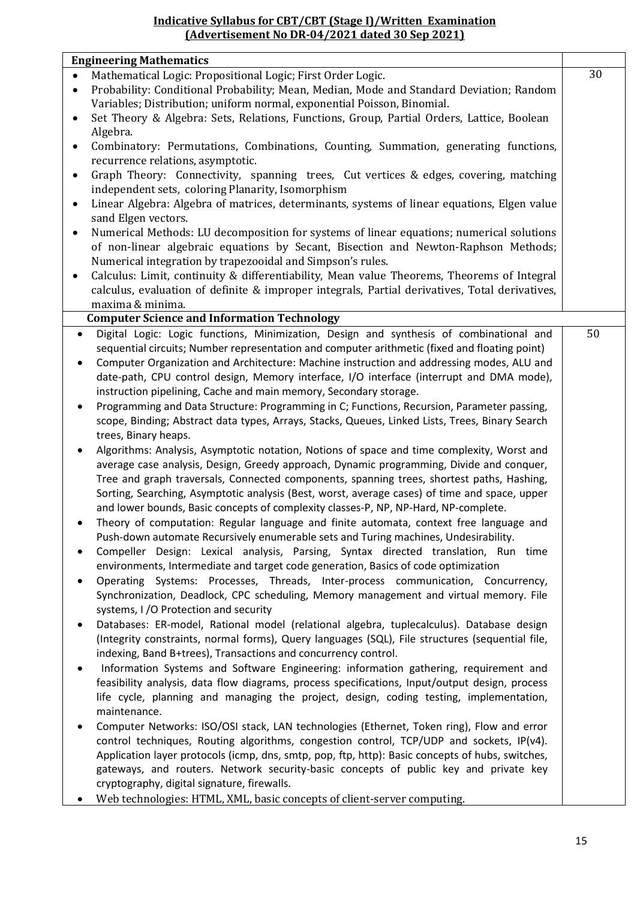| <b>Engineering Mathematics</b>                                                                                                                                                                             |    |
|------------------------------------------------------------------------------------------------------------------------------------------------------------------------------------------------------------|----|
| Mathematical Logic: Propositional Logic; First Order Logic.<br>$\bullet$                                                                                                                                   | 30 |
| Probability: Conditional Probability; Mean, Median, Mode and Standard Deviation; Random<br>$\bullet$<br>Variables; Distribution; uniform normal, exponential Poisson, Binomial.                            |    |
| Set Theory & Algebra: Sets, Relations, Functions, Group, Partial Orders, Lattice, Boolean<br>٠<br>Algebra.                                                                                                 |    |
| Combinatory: Permutations, Combinations, Counting, Summation, generating functions,<br>$\bullet$                                                                                                           |    |
| recurrence relations, asymptotic.                                                                                                                                                                          |    |
| Graph Theory: Connectivity, spanning trees, Cut vertices & edges, covering, matching<br>٠                                                                                                                  |    |
| independent sets, coloring Planarity, Isomorphism                                                                                                                                                          |    |
| Linear Algebra: Algebra of matrices, determinants, systems of linear equations, Elgen value<br>$\bullet$                                                                                                   |    |
| sand Elgen vectors.                                                                                                                                                                                        |    |
| Numerical Methods: LU decomposition for systems of linear equations; numerical solutions<br>٠                                                                                                              |    |
| of non-linear algebraic equations by Secant, Bisection and Newton-Raphson Methods;                                                                                                                         |    |
| Numerical integration by trapezooidal and Simpson's rules.                                                                                                                                                 |    |
| Calculus: Limit, continuity & differentiability, Mean value Theorems, Theorems of Integral                                                                                                                 |    |
| calculus, evaluation of definite & improper integrals, Partial derivatives, Total derivatives,                                                                                                             |    |
| maxima & minima.                                                                                                                                                                                           |    |
| <b>Computer Science and Information Technology</b>                                                                                                                                                         |    |
| Digital Logic: Logic functions, Minimization, Design and synthesis of combinational and<br>$\bullet$                                                                                                       | 50 |
| sequential circuits; Number representation and computer arithmetic (fixed and floating point)                                                                                                              |    |
| Computer Organization and Architecture: Machine instruction and addressing modes, ALU and<br>$\bullet$                                                                                                     |    |
| date-path, CPU control design, Memory interface, I/O interface (interrupt and DMA mode),                                                                                                                   |    |
| instruction pipelining, Cache and main memory, Secondary storage.                                                                                                                                          |    |
| Programming and Data Structure: Programming in C; Functions, Recursion, Parameter passing,<br>$\bullet$<br>scope, Binding; Abstract data types, Arrays, Stacks, Queues, Linked Lists, Trees, Binary Search |    |
| trees, Binary heaps.                                                                                                                                                                                       |    |
|                                                                                                                                                                                                            |    |
| Algorithms: Analysis, Asymptotic notation, Notions of space and time complexity, Worst and<br>$\bullet$<br>average case analysis, Design, Greedy approach, Dynamic programming, Divide and conquer,        |    |
| Tree and graph traversals, Connected components, spanning trees, shortest paths, Hashing,                                                                                                                  |    |
| Sorting, Searching, Asymptotic analysis (Best, worst, average cases) of time and space, upper                                                                                                              |    |
| and lower bounds, Basic concepts of complexity classes-P, NP, NP-Hard, NP-complete.                                                                                                                        |    |
| Theory of computation: Regular language and finite automata, context free language and                                                                                                                     |    |
| Push-down automate Recursively enumerable sets and Turing machines, Undesirability.                                                                                                                        |    |
| Compeller Design: Lexical analysis, Parsing, Syntax directed translation, Run time<br>$\bullet$                                                                                                            |    |
| environments, Intermediate and target code generation, Basics of code optimization                                                                                                                         |    |
| Operating Systems: Processes, Threads, Inter-process communication, Concurrency,<br>$\bullet$                                                                                                              |    |
| Synchronization, Deadlock, CPC scheduling, Memory management and virtual memory. File                                                                                                                      |    |
| systems, I /O Protection and security                                                                                                                                                                      |    |
| Databases: ER-model, Rational model (relational algebra, tuplecalculus). Database design<br>$\bullet$                                                                                                      |    |
| (Integrity constraints, normal forms), Query languages (SQL), File structures (sequential file,                                                                                                            |    |
| indexing, Band B+trees), Transactions and concurrency control.                                                                                                                                             |    |
| Information Systems and Software Engineering: information gathering, requirement and<br>٠                                                                                                                  |    |
| feasibility analysis, data flow diagrams, process specifications, Input/output design, process                                                                                                             |    |
| life cycle, planning and managing the project, design, coding testing, implementation,                                                                                                                     |    |
| maintenance.                                                                                                                                                                                               |    |
| Computer Networks: ISO/OSI stack, LAN technologies (Ethernet, Token ring), Flow and error<br>$\bullet$                                                                                                     |    |
| control techniques, Routing algorithms, congestion control, TCP/UDP and sockets, IP(v4).                                                                                                                   |    |
| Application layer protocols (icmp, dns, smtp, pop, ftp, http): Basic concepts of hubs, switches,                                                                                                           |    |
| gateways, and routers. Network security-basic concepts of public key and private key                                                                                                                       |    |
| cryptography, digital signature, firewalls.                                                                                                                                                                |    |
| Web technologies: HTML, XML, basic concepts of client-server computing.                                                                                                                                    |    |